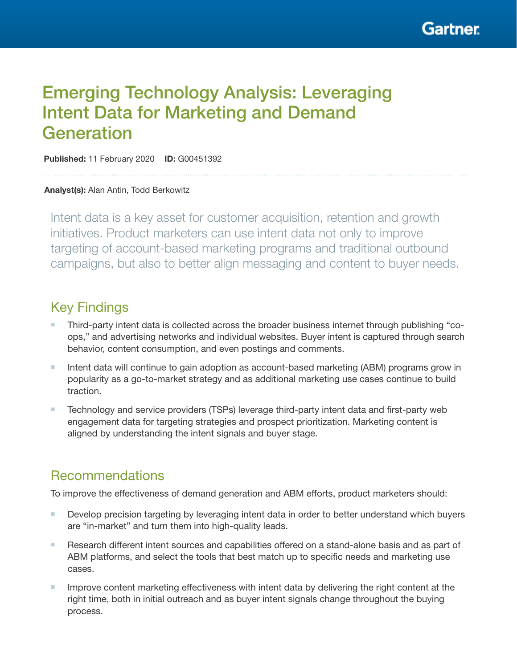# Emerging Technology Analysis: Leveraging Intent Data for Marketing and Demand **Generation**

Published: 11 February 2020 ID: G00451392

#### Analyst(s): Alan Antin, Todd Berkowitz

Intent data is a key asset for customer acquisition, retention and growth initiatives. Product marketers can use intent data not only to improve targeting of account-based marketing programs and traditional outbound campaigns, but also to better align messaging and content to buyer needs.

# Key Findings

- Ŷ Third-party intent data is collected across the broader business internet through publishing "coops," and advertising networks and individual websites. Buyer intent is captured through search behavior, content consumption, and even postings and comments.
- **If Intent data will continue to gain adoption as account-based marketing (ABM) programs grow in** popularity as a go-to-market strategy and as additional marketing use cases continue to build traction.
- **F** Technology and service providers (TSPs) leverage third-party intent data and first-party web engagement data for targeting strategies and prospect prioritization. Marketing content is aligned by understanding the intent signals and buyer stage.

# Recommendations

To improve the effectiveness of demand generation and ABM efforts, product marketers should:

- Develop precision targeting by leveraging intent data in order to better understand which buyers are "in-market" and turn them into high-quality leads.
- Research different intent sources and capabilities offered on a stand-alone basis and as part of ABM platforms, and select the tools that best match up to specific needs and marketing use cases.
- $\blacksquare$  Improve content marketing effectiveness with intent data by delivering the right content at the right time, both in initial outreach and as buyer intent signals change throughout the buying process.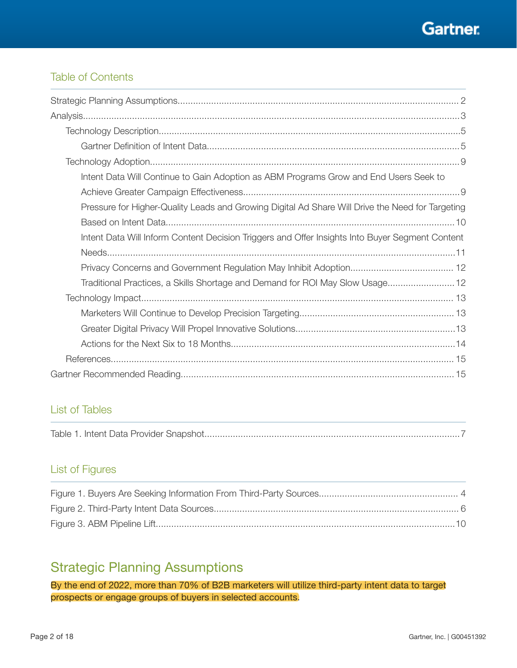

## Table of Contents

| Intent Data Will Continue to Gain Adoption as ABM Programs Grow and End Users Seek to            |
|--------------------------------------------------------------------------------------------------|
|                                                                                                  |
| Pressure for Higher-Quality Leads and Growing Digital Ad Share Will Drive the Need for Targeting |
|                                                                                                  |
| Intent Data Will Inform Content Decision Triggers and Offer Insights Into Buyer Segment Content  |
|                                                                                                  |
|                                                                                                  |
| Traditional Practices, a Skills Shortage and Demand for ROI May Slow Usage 12                    |
|                                                                                                  |
|                                                                                                  |
|                                                                                                  |
|                                                                                                  |
|                                                                                                  |
|                                                                                                  |

# List of Tables

|--|

## List of Figures

# Strategic Planning Assumptions

By the end of 2022, more than 70% of B2B marketers will utilize third-party intent data to target prospects or engage groups of buyers in selected accounts.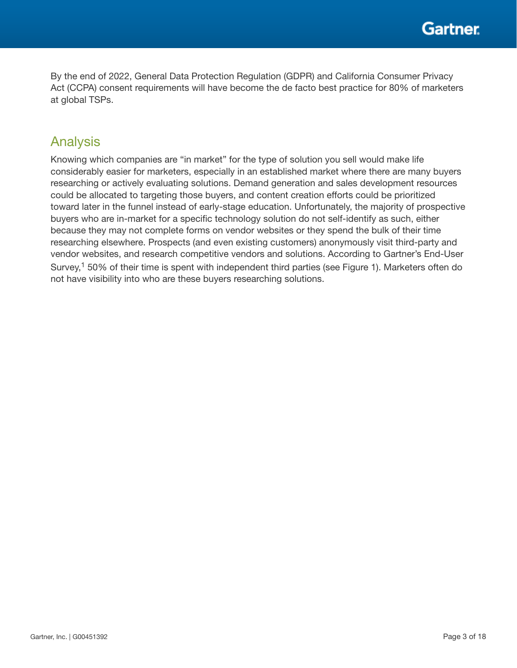By the end of 2022, General Data Protection Regulation (GDPR) and California Consumer Privacy Act (CCPA) consent requirements will have become the de facto best practice for 80% of marketers at global TSPs.

# Analysis

Knowing which companies are "in market" for the type of solution you sell would make life considerably easier for marketers, especially in an established market where there are many buyers researching or actively evaluating solutions. Demand generation and sales development resources could be allocated to targeting those buyers, and content creation efforts could be prioritized toward later in the funnel instead of early-stage education. Unfortunately, the majority of prospective buyers who are in-market for a specific technology solution do not self-identify as such, either because they may not complete forms on vendor websites or they spend the bulk of their time researching elsewhere. Prospects (and even existing customers) anonymously visit third-party and vendor websites, and research competitive vendors and solutions. According to Gartner's End-User Survey,<sup>1</sup> 50% of their time is spent with independent third parties (see Figure 1). Marketers often do not have visibility into who are these buyers researching solutions.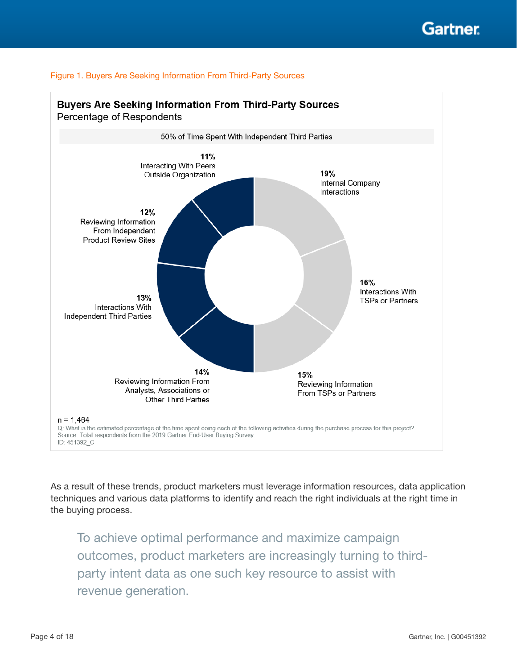



As a result of these trends, product marketers must leverage information resources, data application techniques and various data platforms to identify and reach the right individuals at the right time in the buying process.

To achieve optimal performance and maximize campaign outcomes, product marketers are increasingly turning to thirdparty intent data as one such key resource to assist with revenue generation.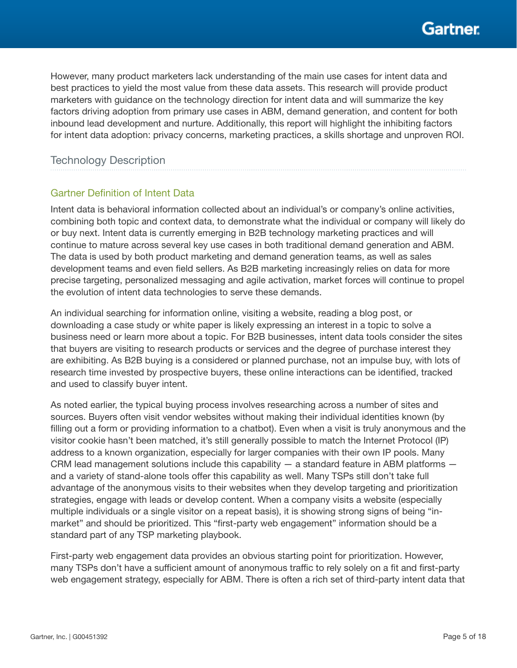However, many product marketers lack understanding of the main use cases for intent data and best practices to yield the most value from these data assets. This research will provide product marketers with guidance on the technology direction for intent data and will summarize the key factors driving adoption from primary use cases in ABM, demand generation, and content for both inbound lead development and nurture. Additionally, this report will highlight the inhibiting factors for intent data adoption: privacy concerns, marketing practices, a skills shortage and unproven ROI.

## Technology Description

### **Gartner Definition of Intent Data**

Intent data is behavioral information collected about an individual's or company's online activities, combining both topic and context data, to demonstrate what the individual or company will likely do or buy next. Intent data is currently emerging in B2B technology marketing practices and will continue to mature across several key use cases in both traditional demand generation and ABM. The data is used by both product marketing and demand generation teams, as well as sales development teams and even field sellers. As B2B marketing increasingly relies on data for more precise targeting, personalized messaging and agile activation, market forces will continue to propel the evolution of intent data technologies to serve these demands.

An individual searching for information online, visiting a website, reading a blog post, or downloading a case study or white paper is likely expressing an interest in a topic to solve a business need or learn more about a topic. For B2B businesses, intent data tools consider the sites that buyers are visiting to research products or services and the degree of purchase interest they are exhibiting. As B2B buying is a considered or planned purchase, not an impulse buy, with lots of research time invested by prospective buyers, these online interactions can be identified, tracked and used to classify buyer intent.

As noted earlier, the typical buying process involves researching across a number of sites and sources. Buyers often visit vendor websites without making their individual identities known (by filling out a form or providing information to a chatbot). Even when a visit is truly anonymous and the visitor cookie hasn't been matched, it's still generally possible to match the Internet Protocol (IP) address to a known organization, especially for larger companies with their own IP pools. Many CRM lead management solutions include this capability  $-$  a standard feature in ABM platforms  $$ and a variety of stand-alone tools offer this capability as well. Many TSPs still don't take full advantage of the anonymous visits to their websites when they develop targeting and prioritization strategies, engage with leads or develop content. When a company visits a website (especially multiple individuals or a single visitor on a repeat basis), it is showing strong signs of being "inmarket" and should be prioritized. This "first-party web engagement" information should be a standard part of any TSP marketing playbook.

First-party web engagement data provides an obvious starting point for prioritization. However, many TSPs don't have a sufficient amount of anonymous traffic to rely solely on a fit and first-party web engagement strategy, especially for ABM. There is often a rich set of third-party intent data that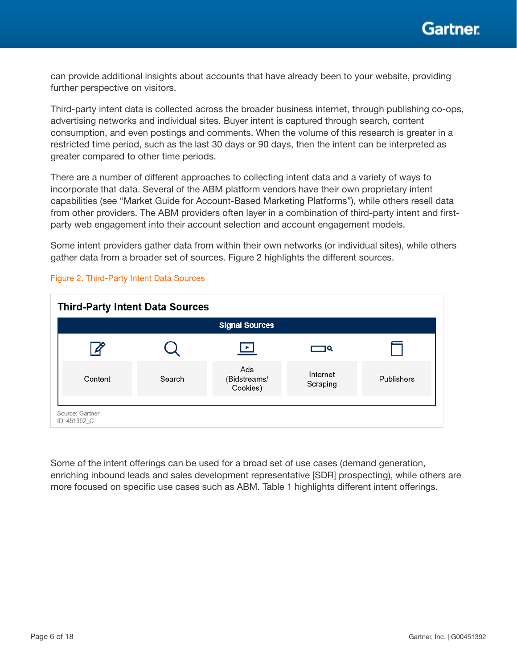

can provide additional insights about accounts that have already been to your website, providing further perspective on visitors.

Third-party intent data is collected across the broader business internet, through publishing co-ops, advertising networks and individual sites. Buyer intent is captured through search, content consumption, and even postings and comments. When the volume of this research is greater in a restricted time period, such as the last 30 days or 90 days, then the intent can be interpreted as greater compared to other time periods.

There are a number of different approaches to collecting intent data and a variety of ways to incorporate that data. Several of the ABM platform vendors have their own proprietary intent capabilities (see "Market Guide for Account-Based Marketing Platforms"), while others resell data from other providers. The ABM providers often layer in a combination of third-party intent and firstparty web engagement into their account selection and account engagement models.

Some intent providers gather data from within their own networks (or individual sites), while others gather data from a broader set of sources. Figure 2 highlights the different sources.



Figure 2. Third-Party Intent Data Sources

Some of the intent offerings can be used for a broad set of use cases (demand generation, enriching inbound leads and sales development representative [SDR] prospecting), while others are more focused on specific use cases such as ABM. Table 1 highlights different intent offerings.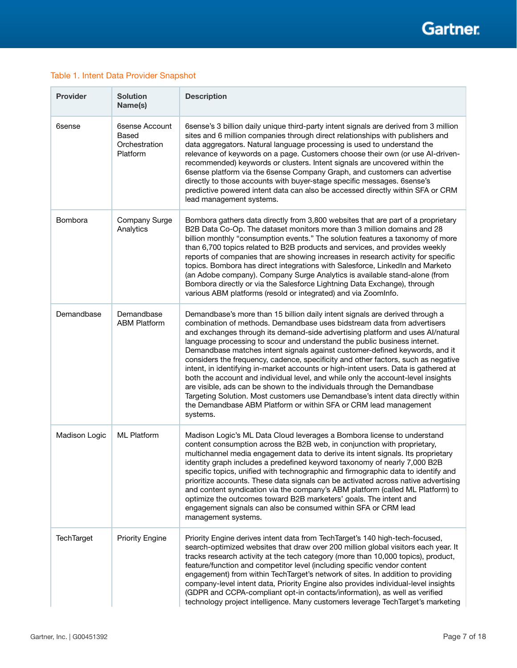#### Table 1. Intent Data Provider Snapshot

| <b>Provider</b> | <b>Solution</b><br>Name(s)                           | <b>Description</b>                                                                                                                                                                                                                                                                                                                                                                                                                                                                                                                                                                                                                                                                                                                                                                                                                                                                                                  |
|-----------------|------------------------------------------------------|---------------------------------------------------------------------------------------------------------------------------------------------------------------------------------------------------------------------------------------------------------------------------------------------------------------------------------------------------------------------------------------------------------------------------------------------------------------------------------------------------------------------------------------------------------------------------------------------------------------------------------------------------------------------------------------------------------------------------------------------------------------------------------------------------------------------------------------------------------------------------------------------------------------------|
| 6sense          | 6sense Account<br>Based<br>Orchestration<br>Platform | 6sense's 3 billion daily unique third-party intent signals are derived from 3 million<br>sites and 6 million companies through direct relationships with publishers and<br>data aggregators. Natural language processing is used to understand the<br>relevance of keywords on a page. Customers choose their own (or use Al-driven-<br>recommended) keywords or clusters. Intent signals are uncovered within the<br>6sense platform via the 6sense Company Graph, and customers can advertise<br>directly to those accounts with buyer-stage specific messages. 6sense's<br>predictive powered intent data can also be accessed directly within SFA or CRM<br>lead management systems.                                                                                                                                                                                                                            |
| Bombora         | Company Surge<br>Analytics                           | Bombora gathers data directly from 3,800 websites that are part of a proprietary<br>B2B Data Co-Op. The dataset monitors more than 3 million domains and 28<br>billion monthly "consumption events." The solution features a taxonomy of more<br>than 6,700 topics related to B2B products and services, and provides weekly<br>reports of companies that are showing increases in research activity for specific<br>topics. Bombora has direct integrations with Salesforce, LinkedIn and Marketo<br>(an Adobe company). Company Surge Analytics is available stand-alone (from<br>Bombora directly or via the Salesforce Lightning Data Exchange), through<br>various ABM platforms (resold or integrated) and via ZoomInfo.                                                                                                                                                                                      |
| Demandbase      | Demandbase<br><b>ABM Platform</b>                    | Demandbase's more than 15 billion daily intent signals are derived through a<br>combination of methods. Demandbase uses bidstream data from advertisers<br>and exchanges through its demand-side advertising platform and uses Al/natural<br>language processing to scour and understand the public business internet.<br>Demandbase matches intent signals against customer-defined keywords, and it<br>considers the frequency, cadence, specificity and other factors, such as negative<br>intent, in identifying in-market accounts or high-intent users. Data is gathered at<br>both the account and individual level, and while only the account-level insights<br>are visible, ads can be shown to the individuals through the Demandbase<br>Targeting Solution. Most customers use Demandbase's intent data directly within<br>the Demandbase ABM Platform or within SFA or CRM lead management<br>systems. |
| Madison Logic   | <b>ML Platform</b>                                   | Madison Logic's ML Data Cloud leverages a Bombora license to understand<br>content consumption across the B2B web, in conjunction with proprietary,<br>multichannel media engagement data to derive its intent signals. Its proprietary<br>identity graph includes a predefined keyword taxonomy of nearly 7,000 B2B<br>specific topics, unified with technographic and firmographic data to identify and<br>prioritize accounts. These data signals can be activated across native advertising<br>and content syndication via the company's ABM platform (called ML Platform) to<br>optimize the outcomes toward B2B marketers' goals. The intent and<br>engagement signals can also be consumed within SFA or CRM lead<br>management systems.                                                                                                                                                                     |
| TechTarget      | <b>Priority Engine</b>                               | Priority Engine derives intent data from TechTarget's 140 high-tech-focused,<br>search-optimized websites that draw over 200 million global visitors each year. It<br>tracks research activity at the tech category (more than 10,000 topics), product,<br>feature/function and competitor level (including specific vendor content<br>engagement) from within TechTarget's network of sites. In addition to providing<br>company-level intent data, Priority Engine also provides individual-level insights<br>(GDPR and CCPA-compliant opt-in contacts/information), as well as verified<br>technology project intelligence. Many customers leverage TechTarget's marketing                                                                                                                                                                                                                                       |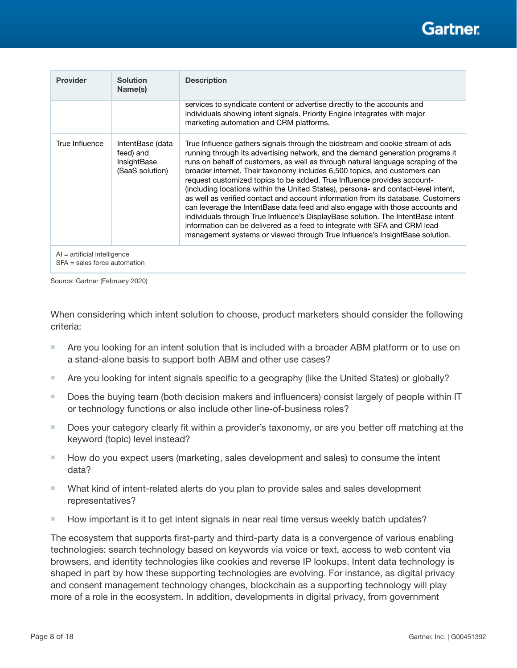# Gartner

| <b>Provider</b>                                                  | <b>Solution</b><br>Name(s)                                      | <b>Description</b>                                                                                                                                                                                                                                                                                                                                                                                                                                                                                                                                                                                                                                                                                                                                                                                                                                                                                                     |  |  |
|------------------------------------------------------------------|-----------------------------------------------------------------|------------------------------------------------------------------------------------------------------------------------------------------------------------------------------------------------------------------------------------------------------------------------------------------------------------------------------------------------------------------------------------------------------------------------------------------------------------------------------------------------------------------------------------------------------------------------------------------------------------------------------------------------------------------------------------------------------------------------------------------------------------------------------------------------------------------------------------------------------------------------------------------------------------------------|--|--|
|                                                                  |                                                                 | services to syndicate content or advertise directly to the accounts and<br>individuals showing intent signals. Priority Engine integrates with major<br>marketing automation and CRM platforms.                                                                                                                                                                                                                                                                                                                                                                                                                                                                                                                                                                                                                                                                                                                        |  |  |
| True Influence                                                   | IntentBase (data<br>feed) and<br>InsightBase<br>(SaaS solution) | True Influence gathers signals through the bidstream and cookie stream of ads<br>running through its advertising network, and the demand generation programs it<br>runs on behalf of customers, as well as through natural language scraping of the<br>broader internet. Their taxonomy includes 6,500 topics, and customers can<br>request customized topics to be added. True Influence provides account-<br>(including locations within the United States), persona- and contact-level intent,<br>as well as verified contact and account information from its database. Customers<br>can leverage the IntentBase data feed and also engage with those accounts and<br>individuals through True Influence's DisplayBase solution. The IntentBase intent<br>information can be delivered as a feed to integrate with SFA and CRM lead<br>management systems or viewed through True Influence's InsightBase solution. |  |  |
| $AI =$ artificial intelligence<br>$SFA = sales force$ automation |                                                                 |                                                                                                                                                                                                                                                                                                                                                                                                                                                                                                                                                                                                                                                                                                                                                                                                                                                                                                                        |  |  |

Source: Gartner (February 2020)

When considering which intent solution to choose, product marketers should consider the following criteria:

- **Are you looking for an intent solution that is included with a broader ABM platform or to use on** a stand-alone basis to support both ABM and other use cases?
- Are you looking for intent signals specific to a geography (like the United States) or globally?
- $\blacksquare$  Does the buying team (both decision makers and influencers) consist largely of people within IT or technology functions or also include other line-of-business roles?
- $\Box$  Does your category clearly fit within a provider's taxonomy, or are you better off matching at the keyword (topic) level instead?
- $\blacksquare$  How do you expect users (marketing, sales development and sales) to consume the intent data?
- What kind of intent-related alerts do you plan to provide sales and sales development representatives?
- How important is it to get intent signals in near real time versus weekly batch updates?

The ecosystem that supports first-party and third-party data is a convergence of various enabling technologies: search technology based on keywords via voice or text, access to web content via browsers, and identity technologies like cookies and reverse IP lookups. Intent data technology is shaped in part by how these supporting technologies are evolving. For instance, as digital privacy and consent management technology changes, blockchain as a supporting technology will play more of a role in the ecosystem. In addition, developments in digital privacy, from government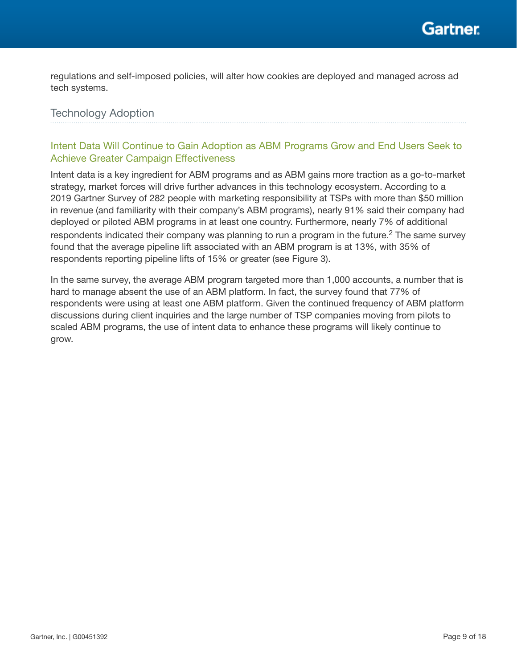

regulations and self-imposed policies, will alter how cookies are deployed and managed across ad tech systems.

## Technology Adoption

## Intent Data Will Continue to Gain Adoption as ABM Programs Grow and End Users Seek to Achieve Greater Campaign Effectiveness

Intent data is a key ingredient for ABM programs and as ABM gains more traction as a go-to-market strategy, market forces will drive further advances in this technology ecosystem. According to a 2019 Gartner Survey of 282 people with marketing responsibility at TSPs with more than \$50 million in revenue (and familiarity with their company's ABM programs), nearly 91% said their company had deployed or piloted ABM programs in at least one country. Furthermore, nearly 7% of additional respondents indicated their company was planning to run a program in the future.<sup>2</sup> The same survey found that the average pipeline lift associated with an ABM program is at 13%, with 35% of respondents reporting pipeline lifts of 15% or greater (see Figure 3).

In the same survey, the average ABM program targeted more than 1,000 accounts, a number that is hard to manage absent the use of an ABM platform. In fact, the survey found that 77% of respondents were using at least one ABM platform. Given the continued frequency of ABM platform discussions during client inquiries and the large number of TSP companies moving from pilots to scaled ABM programs, the use of intent data to enhance these programs will likely continue to grow.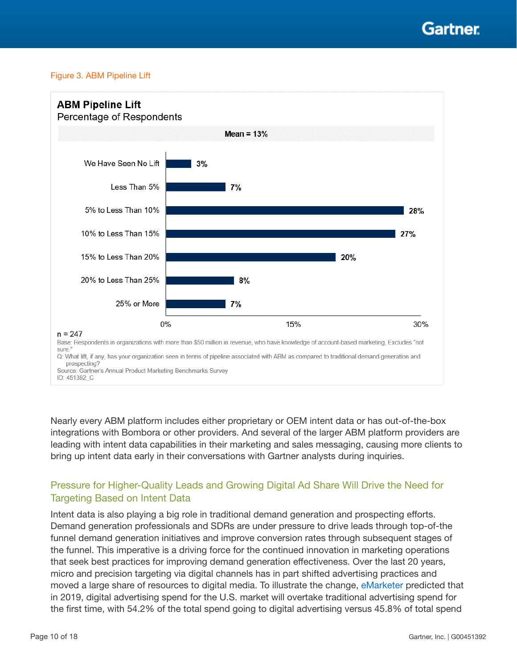Gartner

#### Figure 3. ABM Pipeline Lift



Nearly every ABM platform includes either proprietary or OEM intent data or has out-of-the-box integrations with Bombora or other providers. And several of the larger ABM platform providers are leading with intent data capabilities in their marketing and sales messaging, causing more clients to bring up intent data early in their conversations with Gartner analysts during inquiries.

### Pressure for Higher-Quality Leads and Growing Digital Ad Share Will Drive the Need for Targeting Based on Intent Data

Intent data is also playing a big role in traditional demand generation and prospecting efforts. Demand generation professionals and SDRs are under pressure to drive leads through top-of-the funnel demand generation initiatives and improve conversion rates through subsequent stages of the funnel. This imperative is a driving force for the continued innovation in marketing operations that seek best practices for improving demand generation effectiveness. Over the last 20 years, micro and precision targeting via digital channels has in part shifted advertising practices and moved a large share of resources to digital media. To illustrate the change, eMarketer predicted that in 2019, digital advertising spend for the U.S. market will overtake traditional advertising spend for the first time, with 54.2% of the total spend going to digital advertising versus 45.8% of total spend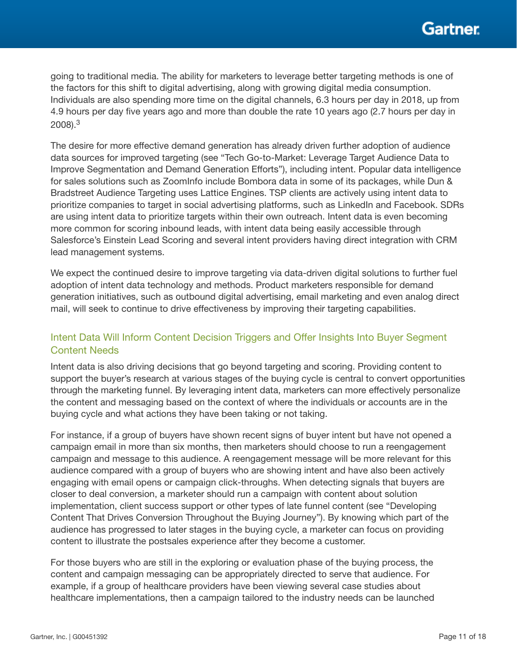going to traditional media. The ability for marketers to leverage better targeting methods is one of the factors for this shift to digital advertising, along with growing digital media consumption. Individuals are also spending more time on the digital channels, 6.3 hours per day in 2018, up from 4.9 hours per day five years ago and more than double the rate 10 years ago (2.7 hours per day in 2008).3

The desire for more effective demand generation has already driven further adoption of audience data sources for improved targeting (see "Tech Go-to-Market: Leverage Target Audience Data to Improve Segmentation and Demand Generation Efforts"), including intent. Popular data intelligence for sales solutions such as ZoomInfo include Bombora data in some of its packages, while Dun & Bradstreet Audience Targeting uses Lattice Engines. TSP clients are actively using intent data to prioritize companies to target in social advertising platforms, such as LinkedIn and Facebook. SDRs are using intent data to prioritize targets within their own outreach. Intent data is even becoming more common for scoring inbound leads, with intent data being easily accessible through Salesforce's Einstein Lead Scoring and several intent providers having direct integration with CRM lead management systems.

We expect the continued desire to improve targeting via data-driven digital solutions to further fuel adoption of intent data technology and methods. Product marketers responsible for demand generation initiatives, such as outbound digital advertising, email marketing and even analog direct mail, will seek to continue to drive effectiveness by improving their targeting capabilities.

## Intent Data Will Inform Content Decision Triggers and Offer Insights Into Buyer Segment Content Needs

Intent data is also driving decisions that go beyond targeting and scoring. Providing content to support the buyer's research at various stages of the buying cycle is central to convert opportunities through the marketing funnel. By leveraging intent data, marketers can more effectively personalize the content and messaging based on the context of where the individuals or accounts are in the buying cycle and what actions they have been taking or not taking.

For instance, if a group of buyers have shown recent signs of buyer intent but have not opened a campaign email in more than six months, then marketers should choose to run a reengagement campaign and message to this audience. A reengagement message will be more relevant for this audience compared with a group of buyers who are showing intent and have also been actively engaging with email opens or campaign click-throughs. When detecting signals that buyers are closer to deal conversion, a marketer should run a campaign with content about solution implementation, client success support or other types of late funnel content (see "Developing Content That Drives Conversion Throughout the Buying Journey"). By knowing which part of the audience has progressed to later stages in the buying cycle, a marketer can focus on providing content to illustrate the postsales experience after they become a customer.

For those buyers who are still in the exploring or evaluation phase of the buying process, the content and campaign messaging can be appropriately directed to serve that audience. For example, if a group of healthcare providers have been viewing several case studies about healthcare implementations, then a campaign tailored to the industry needs can be launched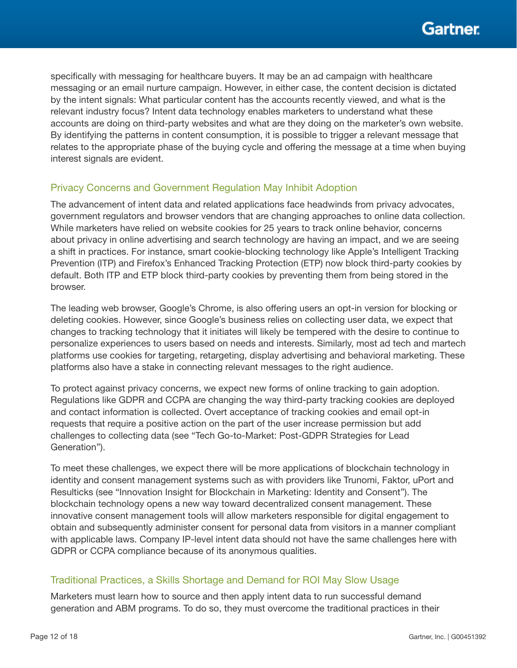specifically with messaging for healthcare buyers. It may be an ad campaign with healthcare messaging or an email nurture campaign. However, in either case, the content decision is dictated by the intent signals: What particular content has the accounts recently viewed, and what is the relevant industry focus? Intent data technology enables marketers to understand what these accounts are doing on third-party websites and what are they doing on the marketer's own website. By identifying the patterns in content consumption, it is possible to trigger a relevant message that relates to the appropriate phase of the buying cycle and offering the message at a time when buying interest signals are evident.

### Privacy Concerns and Government Regulation May Inhibit Adoption

The advancement of intent data and related applications face headwinds from privacy advocates, government regulators and browser vendors that are changing approaches to online data collection. While marketers have relied on website cookies for 25 years to track online behavior, concerns about privacy in online advertising and search technology are having an impact, and we are seeing a shift in practices. For instance, smart cookie-blocking technology like Apple's Intelligent Tracking Prevention (ITP) and Firefox's Enhanced Tracking Protection (ETP) now block third-party cookies by default. Both ITP and ETP block third-party cookies by preventing them from being stored in the browser.

The leading web browser, Google's Chrome, is also offering users an opt-in version for blocking or deleting cookies. However, since Google's business relies on collecting user data, we expect that changes to tracking technology that it initiates will likely be tempered with the desire to continue to personalize experiences to users based on needs and interests. Similarly, most ad tech and martech platforms use cookies for targeting, retargeting, display advertising and behavioral marketing. These platforms also have a stake in connecting relevant messages to the right audience.

To protect against privacy concerns, we expect new forms of online tracking to gain adoption. Regulations like GDPR and CCPA are changing the way third-party tracking cookies are deployed and contact information is collected. Overt acceptance of tracking cookies and email opt-in requests that require a positive action on the part of the user increase permission but add challenges to collecting data (see "Tech Go-to-Market: Post-GDPR Strategies for Lead Generation").

To meet these challenges, we expect there will be more applications of blockchain technology in identity and consent management systems such as with providers like Trunomi, Faktor, uPort and Resulticks (see "Innovation Insight for Blockchain in Marketing: Identity and Consent"). The blockchain technology opens a new way toward decentralized consent management. These innovative consent management tools will allow marketers responsible for digital engagement to obtain and subsequently administer consent for personal data from visitors in a manner compliant with applicable laws. Company IP-level intent data should not have the same challenges here with GDPR or CCPA compliance because of its anonymous qualities.

### Traditional Practices, a Skills Shortage and Demand for ROI May Slow Usage

Marketers must learn how to source and then apply intent data to run successful demand generation and ABM programs. To do so, they must overcome the traditional practices in their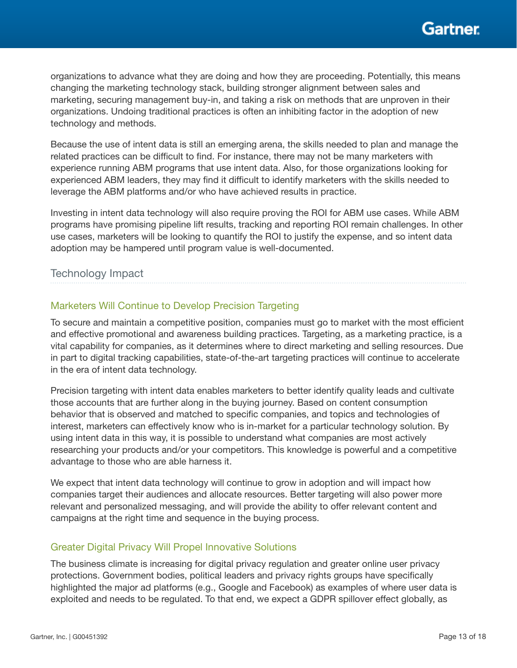

organizations to advance what they are doing and how they are proceeding. Potentially, this means changing the marketing technology stack, building stronger alignment between sales and marketing, securing management buy-in, and taking a risk on methods that are unproven in their organizations. Undoing traditional practices is often an inhibiting factor in the adoption of new technology and methods.

Because the use of intent data is still an emerging arena, the skills needed to plan and manage the related practices can be difficult to find. For instance, there may not be many marketers with experience running ABM programs that use intent data. Also, for those organizations looking for experienced ABM leaders, they may find it difficult to identify marketers with the skills needed to leverage the ABM platforms and/or who have achieved results in practice.

Investing in intent data technology will also require proving the ROI for ABM use cases. While ABM programs have promising pipeline lift results, tracking and reporting ROI remain challenges. In other use cases, marketers will be looking to quantify the ROI to justify the expense, and so intent data adoption may be hampered until program value is well-documented.

#### Technology Impact

#### Marketers Will Continue to Develop Precision Targeting

To secure and maintain a competitive position, companies must go to market with the most efficient and effective promotional and awareness building practices. Targeting, as a marketing practice, is a vital capability for companies, as it determines where to direct marketing and selling resources. Due in part to digital tracking capabilities, state-of-the-art targeting practices will continue to accelerate in the era of intent data technology.

Precision targeting with intent data enables marketers to better identify quality leads and cultivate those accounts that are further along in the buying journey. Based on content consumption behavior that is observed and matched to specific companies, and topics and technologies of interest, marketers can effectively know who is in-market for a particular technology solution. By using intent data in this way, it is possible to understand what companies are most actively researching your products and/or your competitors. This knowledge is powerful and a competitive advantage to those who are able harness it.

We expect that intent data technology will continue to grow in adoption and will impact how companies target their audiences and allocate resources. Better targeting will also power more relevant and personalized messaging, and will provide the ability to offer relevant content and campaigns at the right time and sequence in the buying process.

#### Greater Digital Privacy Will Propel Innovative Solutions

The business climate is increasing for digital privacy regulation and greater online user privacy protections. Government bodies, political leaders and privacy rights groups have specifically highlighted the major ad platforms (e.g., Google and Facebook) as examples of where user data is exploited and needs to be regulated. To that end, we expect a GDPR spillover effect globally, as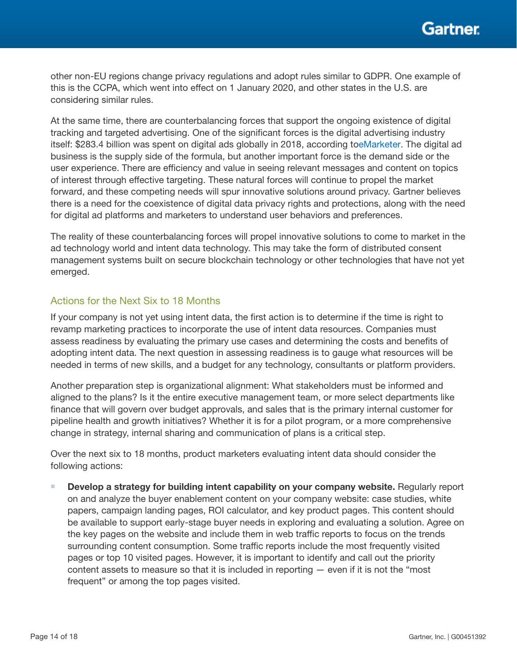other non-EU regions change privacy regulations and adopt rules similar to GDPR. One example of this is the CCPA, which went into effect on 1 January 2020, and other states in the U.S. are considering similar rules.

At the same time, there are counterbalancing forces that support the ongoing existence of digital tracking and targeted advertising. One of the significant forces is the digital advertising industry itself: \$283.4 billion was spent on digital ads globally in 2018, according toeMarketer. The digital ad business is the supply side of the formula, but another important force is the demand side or the user experience. There are efficiency and value in seeing relevant messages and content on topics of interest through effective targeting. These natural forces will continue to propel the market forward, and these competing needs will spur innovative solutions around privacy. Gartner believes there is a need for the coexistence of digital data privacy rights and protections, along with the need for digital ad platforms and marketers to understand user behaviors and preferences.

The reality of these counterbalancing forces will propel innovative solutions to come to market in the ad technology world and intent data technology. This may take the form of distributed consent management systems built on secure blockchain technology or other technologies that have not yet emerged.

#### Actions for the Next Six to 18 Months

If your company is not yet using intent data, the first action is to determine if the time is right to revamp marketing practices to incorporate the use of intent data resources. Companies must assess readiness by evaluating the primary use cases and determining the costs and benefits of adopting intent data. The next question in assessing readiness is to gauge what resources will be needed in terms of new skills, and a budget for any technology, consultants or platform providers.

Another preparation step is organizational alignment: What stakeholders must be informed and aligned to the plans? Is it the entire executive management team, or more select departments like finance that will govern over budget approvals, and sales that is the primary internal customer for pipeline health and growth initiatives? Whether it is for a pilot program, or a more comprehensive change in strategy, internal sharing and communication of plans is a critical step.

Over the next six to 18 months, product marketers evaluating intent data should consider the following actions:

 $\blacksquare$  Develop a strategy for building intent capability on your company website. Regularly report on and analyze the buyer enablement content on your company website: case studies, white papers, campaign landing pages, ROI calculator, and key product pages. This content should be available to support early-stage buyer needs in exploring and evaluating a solution. Agree on the key pages on the website and include them in web traffic reports to focus on the trends surrounding content consumption. Some traffic reports include the most frequently visited pages or top 10 visited pages. However, it is important to identify and call out the priority content assets to measure so that it is included in reporting — even if it is not the "most frequent" or among the top pages visited.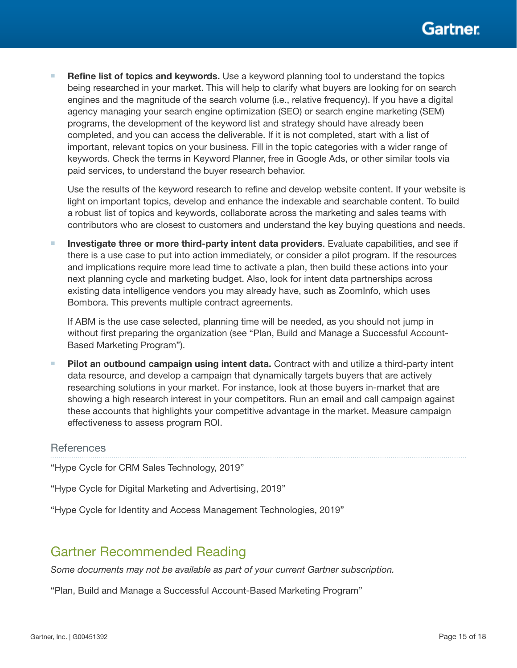**Refine list of topics and keywords.** Use a keyword planning tool to understand the topics being researched in your market. This will help to clarify what buyers are looking for on search engines and the magnitude of the search volume (i.e., relative frequency). If you have a digital agency managing your search engine optimization (SEO) or search engine marketing (SEM) programs, the development of the keyword list and strategy should have already been completed, and you can access the deliverable. If it is not completed, start with a list of important, relevant topics on your business. Fill in the topic categories with a wider range of keywords. Check the terms in Keyword Planner, free in Google Ads, or other similar tools via paid services, to understand the buyer research behavior.

Use the results of the keyword research to refine and develop website content. If your website is light on important topics, develop and enhance the indexable and searchable content. To build a robust list of topics and keywords, collaborate across the marketing and sales teams with contributors who are closest to customers and understand the key buying questions and needs.

Investigate three or more third-party intent data providers. Evaluate capabilities, and see if there is a use case to put into action immediately, or consider a pilot program. If the resources and implications require more lead time to activate a plan, then build these actions into your next planning cycle and marketing budget. Also, look for intent data partnerships across existing data intelligence vendors you may already have, such as ZoomInfo, which uses Bombora. This prevents multiple contract agreements.

If ABM is the use case selected, planning time will be needed, as you should not jump in without first preparing the organization (see "Plan, Build and Manage a Successful Account-Based Marketing Program").

Pilot an outbound campaign using intent data. Contract with and utilize a third-party intent data resource, and develop a campaign that dynamically targets buyers that are actively researching solutions in your market. For instance, look at those buyers in-market that are showing a high research interest in your competitors. Run an email and call campaign against these accounts that highlights your competitive advantage in the market. Measure campaign effectiveness to assess program ROI.

#### References

"Hype Cycle for CRM Sales Technology, 2019"

"Hype Cycle for Digital Marketing and Advertising, 2019"

"Hype Cycle for Identity and Access Management Technologies, 2019"

# Gartner Recommended Reading

*Some documents may not be available as part of your current Gartner subscription.*

"Plan, Build and Manage a Successful Account-Based Marketing Program"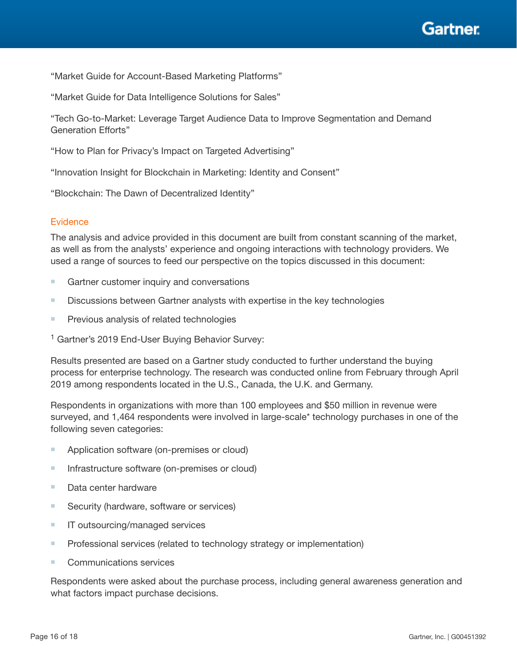

"Market Guide for Account-Based Marketing Platforms"

"Market Guide for Data Intelligence Solutions for Sales"

"Tech Go-to-Market: Leverage Target Audience Data to Improve Segmentation and Demand Generation Efforts"

"How to Plan for Privacy's Impact on Targeted Advertising"

"Innovation Insight for Blockchain in Marketing: Identity and Consent"

"Blockchain: The Dawn of Decentralized Identity"

#### **Evidence**

The analysis and advice provided in this document are built from constant scanning of the market, as well as from the analysts' experience and ongoing interactions with technology providers. We used a range of sources to feed our perspective on the topics discussed in this document:

- $\blacksquare$  Gartner customer inquiry and conversations
- **Discussions between Gartner analysts with expertise in the key technologies**
- $\blacksquare$  Previous analysis of related technologies

<sup>1</sup> Gartner's 2019 End-User Buying Behavior Survey:

Results presented are based on a Gartner study conducted to further understand the buying process for enterprise technology. The research was conducted online from February through April 2019 among respondents located in the U.S., Canada, the U.K. and Germany.

Respondents in organizations with more than 100 employees and \$50 million in revenue were surveyed, and 1,464 respondents were involved in large-scale\* technology purchases in one of the following seven categories:

- $\blacksquare$  Application software (on-premises or cloud)
- $\blacksquare$  Infrastructure software (on-premises or cloud)
- $\blacksquare$  Data center hardware
- $\blacksquare$  Security (hardware, software or services)
- $\blacksquare$  IT outsourcing/managed services
- $\blacksquare$  Professional services (related to technology strategy or implementation)
- $\blacksquare$  Communications services

Respondents were asked about the purchase process, including general awareness generation and what factors impact purchase decisions.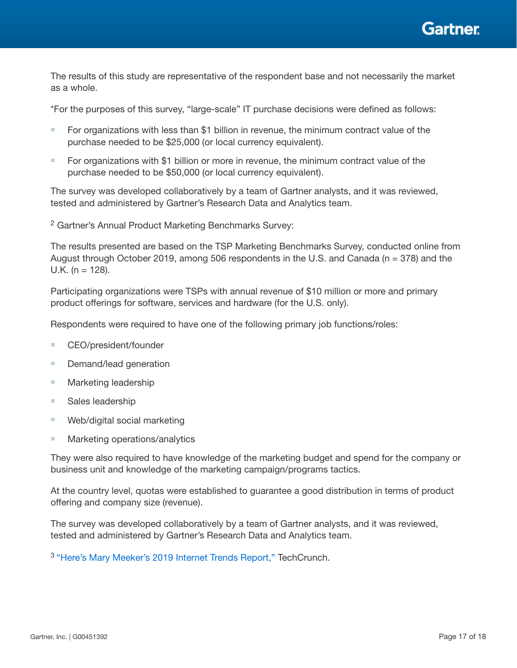

The results of this study are representative of the respondent base and not necessarily the market as a whole.

\*For the purposes of this survey, "large-scale" IT purchase decisions were defined as follows:

- $\blacksquare$  For organizations with less than \$1 billion in revenue, the minimum contract value of the purchase needed to be \$25,000 (or local currency equivalent).
- For organizations with \$1 billion or more in revenue, the minimum contract value of the purchase needed to be \$50,000 (or local currency equivalent).

The survey was developed collaboratively by a team of Gartner analysts, and it was reviewed, tested and administered by Gartner's Research Data and Analytics team.

<sup>2</sup> Gartner's Annual Product Marketing Benchmarks Survey:

The results presented are based on the TSP Marketing Benchmarks Survey, conducted online from August through October 2019, among 506 respondents in the U.S. and Canada ( $n = 378$ ) and the U.K. ( $n = 128$ ).

Participating organizations were TSPs with annual revenue of \$10 million or more and primary product offerings for software, services and hardware (for the U.S. only).

Respondents were required to have one of the following primary job functions/roles:

- $\blacksquare$  CEO/president/founder
- Demand/lead generation
- $\blacksquare$  Marketing leadership
- Sales leadership
- $\blacksquare$  Web/digital social marketing
- $\blacksquare$  Marketing operations/analytics

They were also required to have knowledge of the marketing budget and spend for the company or business unit and knowledge of the marketing campaign/programs tactics.

At the country level, quotas were established to guarantee a good distribution in terms of product offering and company size (revenue).

The survey was developed collaboratively by a team of Gartner analysts, and it was reviewed, tested and administered by Gartner's Research Data and Analytics team.

3 "Here's Mary Meeker's 2019 Internet Trends Report," TechCrunch.